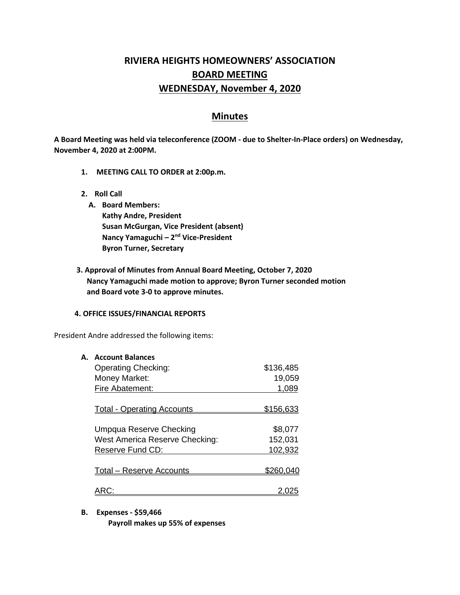# **RIVIERA HEIGHTS HOMEOWNERS' ASSOCIATION BOARD MEETING WEDNESDAY, November 4, 2020**

## **Minutes**

**A Board Meeting was held via teleconference (ZOOM - due to Shelter-In-Place orders) on Wednesday, November 4, 2020 at 2:00PM.** 

- **1. MEETING CALL TO ORDER at 2:00p.m.**
- **2. Roll Call**
	- **A. Board Members: Kathy Andre, President Susan McGurgan, Vice President (absent) Nancy Yamaguchi – 2<sup>nd</sup> Vice-President Byron Turner, Secretary**
- **3. Approval of Minutes from Annual Board Meeting, October 7, 2020 Nancy Yamaguchi made motion to approve; Byron Turner seconded motion and Board vote 3-0 to approve minutes.**

#### **4. OFFICE ISSUES/FINANCIAL REPORTS**

President Andre addressed the following items:

| А. | <b>Account Balances</b>               |           |
|----|---------------------------------------|-----------|
|    | <b>Operating Checking:</b>            | \$136,485 |
|    | Money Market:                         | 19,059    |
|    | Fire Abatement:                       | 1,089     |
|    |                                       |           |
|    | <b>Total - Operating Accounts</b>     | \$156,633 |
|    |                                       |           |
|    | Umpqua Reserve Checking               | \$8,077   |
|    | <b>West America Reserve Checking:</b> | 152,031   |
|    | Reserve Fund CD:                      | 102,932   |
|    |                                       |           |
|    | <b>Total – Reserve Accounts</b>       | \$260     |
|    |                                       |           |
|    |                                       |           |

**B. Expenses - \$59,466**

**Payroll makes up 55% of expenses**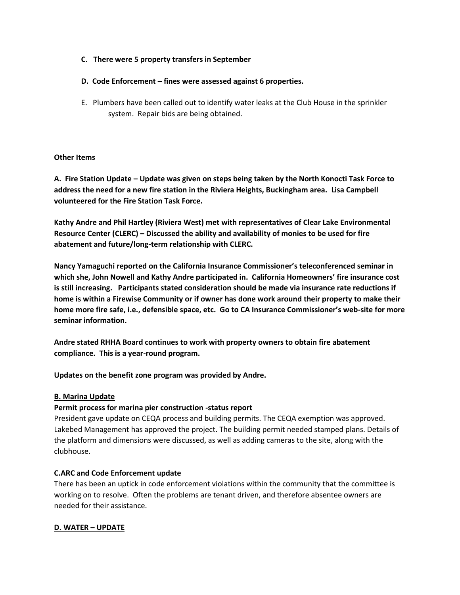## **C. There were 5 property transfers in September**

## **D. Code Enforcement – fines were assessed against 6 properties.**

E. Plumbers have been called out to identify water leaks at the Club House in the sprinkler system. Repair bids are being obtained.

#### **Other Items**

**A. Fire Station Update – Update was given on steps being taken by the North Konocti Task Force to address the need for a new fire station in the Riviera Heights, Buckingham area. Lisa Campbell volunteered for the Fire Station Task Force.**

**Kathy Andre and Phil Hartley (Riviera West) met with representatives of Clear Lake Environmental Resource Center (CLERC) – Discussed the ability and availability of monies to be used for fire abatement and future/long-term relationship with CLERC.**

**Nancy Yamaguchi reported on the California Insurance Commissioner's teleconferenced seminar in which she, John Nowell and Kathy Andre participated in. California Homeowners' fire insurance cost is still increasing. Participants stated consideration should be made via insurance rate reductions if home is within a Firewise Community or if owner has done work around their property to make their home more fire safe, i.e., defensible space, etc. Go to CA Insurance Commissioner's web-site for more seminar information.** 

**Andre stated RHHA Board continues to work with property owners to obtain fire abatement compliance. This is a year-round program.**

**Updates on the benefit zone program was provided by Andre.**

## **B. Marina Update**

## **Permit process for marina pier construction -status report**

President gave update on CEQA process and building permits. The CEQA exemption was approved. Lakebed Management has approved the project. The building permit needed stamped plans. Details of the platform and dimensions were discussed, as well as adding cameras to the site, along with the clubhouse.

#### **C.ARC and Code Enforcement update**

There has been an uptick in code enforcement violations within the community that the committee is working on to resolve. Often the problems are tenant driven, and therefore absentee owners are needed for their assistance.

## **D. WATER – UPDATE**